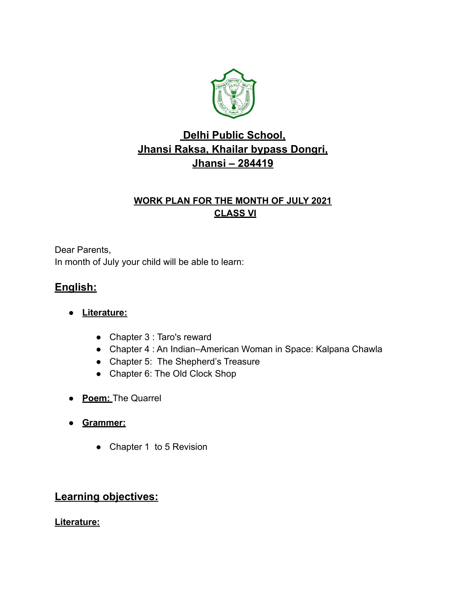

## **Delhi Public School, Jhansi Raksa, Khailar bypass Dongri, Jhansi – 284419**

#### **WORK PLAN FOR THE MONTH OF JULY 2021 CLASS VI**

Dear Parents, In month of July your child will be able to learn:

### **English:**

- **● Literature:**
	- Chapter 3 : Taro's reward
	- Chapter 4 : An Indian–American Woman in Space: Kalpana Chawla
	- Chapter 5: The Shepherd's Treasure
	- Chapter 6: The Old Clock Shop
- **Poem:** The Quarrel
- **● Grammer:**
	- Chapter 1 to 5 Revision

### **Learning objectives:**

**Literature:**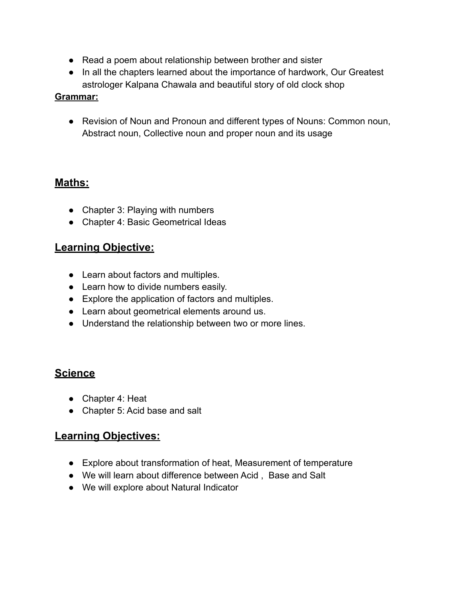- Read a poem about relationship between brother and sister
- In all the chapters learned about the importance of hardwork, Our Greatest astrologer Kalpana Chawala and beautiful story of old clock shop

#### **Grammar:**

● Revision of Noun and Pronoun and different types of Nouns: Common noun, Abstract noun, Collective noun and proper noun and its usage

#### **Maths:**

- Chapter 3: Playing with numbers
- Chapter 4: Basic Geometrical Ideas

#### **Learning Objective:**

- Learn about factors and multiples.
- Learn how to divide numbers easily.
- Explore the application of factors and multiples.
- Learn about geometrical elements around us.
- Understand the relationship between two or more lines.

### **Science**

- Chapter 4: Heat
- Chapter 5: Acid base and salt

#### **Learning Objectives:**

- Explore about transformation of heat, Measurement of temperature
- We will learn about difference between Acid , Base and Salt
- We will explore about Natural Indicator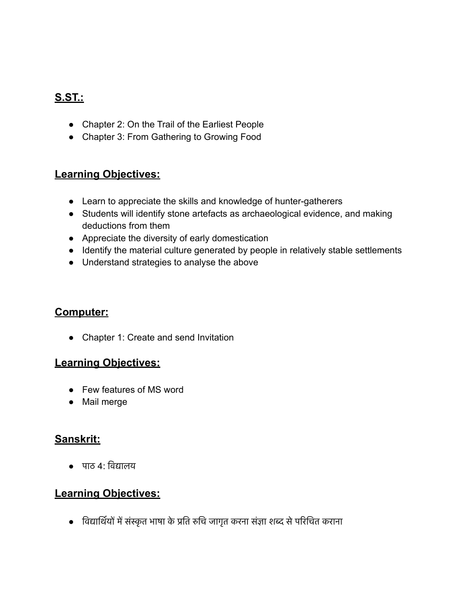## **S.ST.:**

- Chapter 2: On the Trail of the Earliest People
- Chapter 3: From Gathering to Growing Food

#### **Learning Objectives:**

- Learn to appreciate the skills and knowledge of hunter-gatherers
- Students will identify stone artefacts as archaeological evidence, and making deductions from them
- Appreciate the diversity of early domestication
- Identify the material culture generated by people in relatively stable settlements
- Understand strategies to analyse the above

#### **Computer:**

● Chapter 1: Create and send Invitation

#### **Learning Objectives:**

- Few features of MS word
- Mail merge

#### **Sanskrit:**

● पाठ 4: िव&ालय

#### **Learning Objectives:**

• विद्यार्थियों में संस्कृत भाषा के प्रति रुचि जागृत करना संज्ञा शब्द से परिचित कराना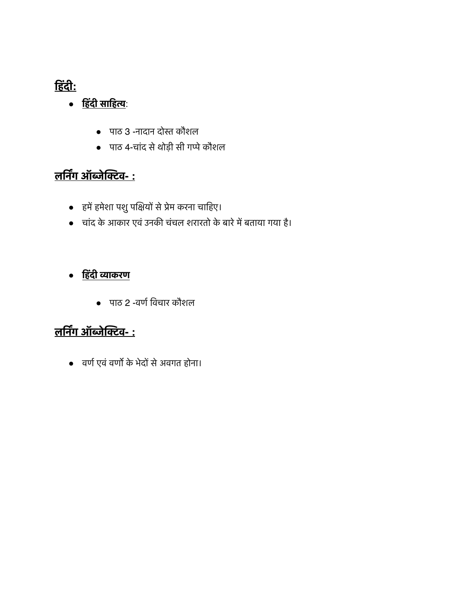## **िहंदी:**

- **िहंदी सािह(**:
	- पाठ 3 -नादान दोस्त कौशल
	- पाठ 4-चांद से थोड़ी सी गप्पे कौशल

# **लिन,ग ऑ/ेि2व- :**

- हमें हमेशा पशु पक्षियों से प्रेम करना चाहिए।
- चांद के आकार एवं उनकी चंचल शरारतो के बारे में बताया गया है।

## ● **िहंदी 4ाकरण**

• पाठ 2 -वर्ण विचार कौशल

## **लिन,ग ऑ/ेि2व- :**

• वर्ण एवं वर्णो के भेदों से अवगत होना।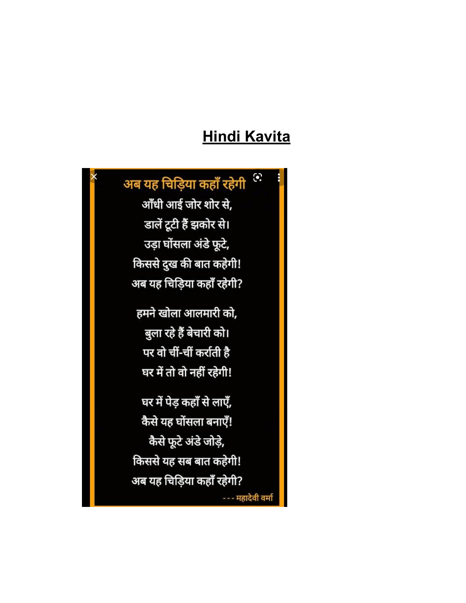# **Hindi Kavita**

#### $\ddot{\bullet}$ अब यह चिड़िया कहाँ रहेगी

आँधी आई जोर शोर से, डालें टूटी हैं झकोर से। उड़ा घोंसला अंडे फूटे, किससे दुख की बात कहेगी! अब यह चिड़िया कहाँ रहेगी?

हमने खोला आलमारी को, बुला रहे हैं बेचारी को। पर वो चीं-चीं कर्राती है घर में तो वो नहीं रहेगी!

घर में पेड़ कहाँ से लाएँ, कैसे यह घोंसला बनाएँ! कैसे फूटे अंडे जोड़े, किससे यह सब बात कहेगी! अब यह चिड़िया कहाँ रहेगी? --- महादेवी वर्मा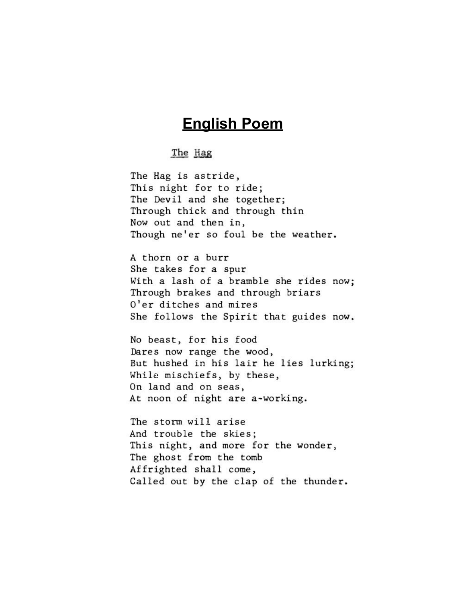## **English Poem**

#### The Hag

The Hag is astride, This night for to ride; The Devil and she together; Through thick and through thin Now out and then in, Though ne'er so foul be the weather.

A thorn or a burr She takes for a spur With a lash of a bramble she rides now; Through brakes and through briars O'er ditches and mires She follows the Spirit that guides now.

No beast, for his food Dares now range the wood, But hushed in his lair he lies lurking; While mischiefs, by these, On land and on seas, At noon of night are a-working.

The storm will arise And trouble the skies; This night, and more for the wonder, The ghost from the tomb Affrighted shall come, Called out by the clap of the thunder.